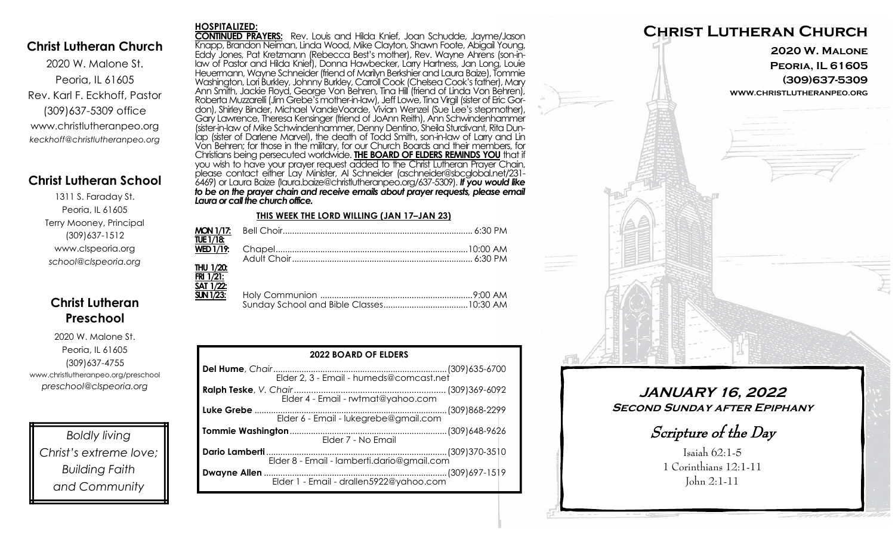### **Christ Lutheran Church**

2020 W. Malone St. Peoria, IL 61605 Rev. Karl F. Eckhoff, Pastor (309)637-5309 office www.christlutheranpeo.org *keckhoff@christlutheranpeo.org*

## **Christ Lutheran School**

1311 S. Faraday St. Peoria, IL 61605 Terry Mooney, Principal (309)637-1512 www.clspeoria.org *school@clspeoria.org*

## **Christ Lutheran Preschool**

2020 W. Malone St. Peoria, IL 61605 (309)637-4755 www.christlutheranpeo.org/preschool *preschool@clspeoria.org*

*Boldly living Christ's extreme love; Building Faith and Community*

#### **HOSPITALIZED:**

**CONTINUED PRAYERS:** Rev. Louis and Hilda Knief, Joan Schudde, Jayme/Jason Knapp, Brandon Neiman, Linda Wood, Mike Clayton, Shawn Foote, Abigail Young, Eddy Jones, Pat Kretzmann (Rebecca Best's mother), Rev. Wayne Ahrens (son-inlaw of Pastor and Hilda Knief), Donna Hawbecker, Larry Hartness, Jan Long, Louie Heuermann, Wayne Schneider (friend of Marilyn Berkshier and Laura Baize), Tommie Washington, Lori Burkley, Johnny Burkley, Carroll Cook (Chelsea Cook's father), Mary Ann Smith, Jackie Floyd, George Von Behren, Tina Hill (friend of Linda Von Behren), Roberta Muzzarelli (Jim Grebe's mother-in-law), Jeff Lowe, Tina Virgil (sister of Eric Gordon), Shirley Binder, Michael VandeVoorde, Vivian Wenzel (Sue Lee's stepmother), Gary Lawrence, Theresa Kensinger (friend of JoAnn Reith), Ann Schwindenhammer (sister-in-law of Mike Schwindenhammer, Denny Dentino, Sheila Sturdivant, Rita Dunlap (sister of Darlene Marvel), the death of Todd Smith, son-in-law of Larry and Lin Von Behren; for those in the military, for our Church Boards and their members, for Christians being persecuted worldwide. **THE BOARD OF ELDERS REMINDS YOU** that if you wish to have your prayer request added to the Christ Lutheran Prayer Chain, please contact either Lay Minister, Al Schneider (aschneider@sbcglobal.net/231- 6469) or Laura Baize (laura.baize@christlutheranpeo.org/637-5309). *If you would like to be on the prayer chain and receive emails about prayer requests, please email Laura or call the church office.*

#### **THIS WEEK THE LORD WILLING (JAN 17–JAN 23)**

| TUE 1/18:                     |  |
|-------------------------------|--|
|                               |  |
|                               |  |
| <b>THU 1/20:</b><br>FRI 1/21: |  |
| SAT 1/22:<br>$SUN 1/23$ :     |  |

| <b>2022 BOARD OF ELDERS</b>           |  |  |  |
|---------------------------------------|--|--|--|
|                                       |  |  |  |
| Elder 4 - Email - rwtmat@yahoo.com    |  |  |  |
| Elder 6 - Email - lukegrebe@gmail.com |  |  |  |
| Elder 7 - No Email                    |  |  |  |
|                                       |  |  |  |
|                                       |  |  |  |



**JANUARY 16, 2022 Second Sunday after Epiphany** 

Scripture of the Day

Isaiah 62:1-5 1 Corinthians 12:1-11 John 2:1-11